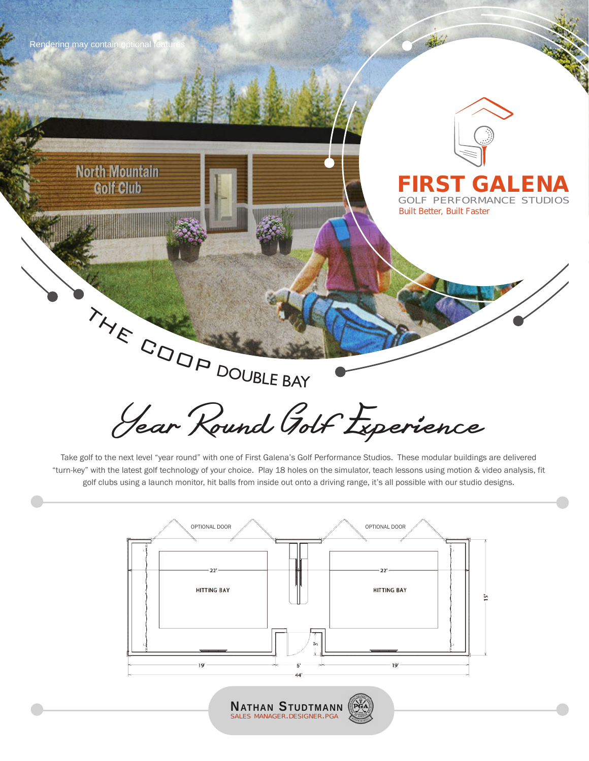

**North Mountain** Golf Club



### **FIRST GALENA** GOLF PERFORMANCE STUDIOS

*Built Better, Built Faster*

Year Round Golf Experience THE COOP DOUBLE BAY

Take golf to the next level "year round" with one of First Galena's Golf Performance Studios. These modular buildings are delivered "turn-key" with the latest golf technology of your choice. Play 18 holes on the simulator, teach lessons using motion & video analysis, fit golf clubs using a launch monitor, hit balls from inside out onto a driving range, it's all possible with our studio designs.